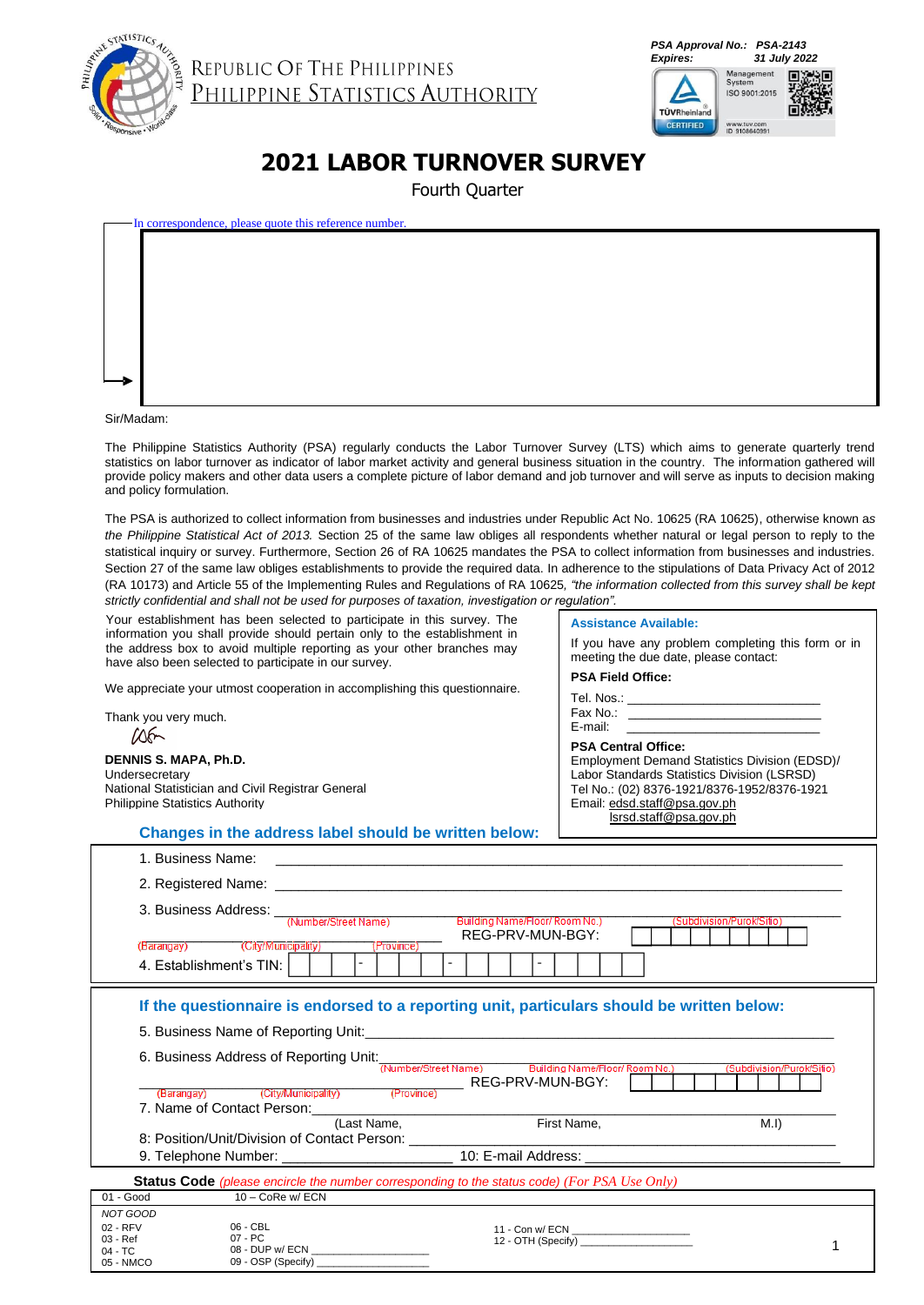

REPUBLIC OF THE PHILIPPINES<br>PHILIPPINE STATISTICS AUTHORITY

*PSA Approval No.: PSA-2143 Expires: 31 July 2022*



### **2021 LABOR TURNOVER SURVEY**

Fourth Quarter

| In correspondence, please quote this reference number. |  |
|--------------------------------------------------------|--|
|                                                        |  |
|                                                        |  |
|                                                        |  |
|                                                        |  |
|                                                        |  |
|                                                        |  |
|                                                        |  |
|                                                        |  |

Sir/Madam:

Thank you very much.

Undersecretary

 $106-$ 

**DENNIS S. MAPA, Ph.D.**

Philippine Statistics Authority

National Statistician and Civil Registrar General

The Philippine Statistics Authority (PSA) regularly conducts the Labor Turnover Survey (LTS) which aims to generate quarterly trend statistics on labor turnover as indicator of labor market activity and general business situation in the country. The information gathered will provide policy makers and other data users a complete picture of labor demand and job turnover and will serve as inputs to decision making and policy formulation.

The PSA is authorized to collect information from businesses and industries under Republic Act No. 10625 (RA 10625), otherwise known a*s the Philippine Statistical Act of 2013.* Section 25 of the same law obliges all respondents whether natural or legal person to reply to the statistical inquiry or survey. Furthermore, Section 26 of RA 10625 mandates the PSA to collect information from businesses and industries. Section 27 of the same law obliges establishments to provide the required data. In adherence to the stipulations of Data Privacy Act of 2012 (RA 10173) and Article 55 of the Implementing Rules and Regulations of RA 10625*, "the information collected from this survey shall be kept strictly confidential and shall not be used for purposes of taxation, investigation or regulation".*

| Your establishment has been selected to participate in this survey. The   |
|---------------------------------------------------------------------------|
| information you shall provide should pertain only to the establishment in |
| the address box to avoid multiple reporting as your other branches may    |
| have also been selected to participate in our survey.                     |

We appreciate your utmost cooperation in accomplishing this questionnaire.

| <b>Assistance Available:</b>                       |  |  |  |  |
|----------------------------------------------------|--|--|--|--|
| If you have any problem completing this form or in |  |  |  |  |

| meeting the due date, please contact: |  |
|---------------------------------------|--|
| <b>PSA Field Office:</b>              |  |
| Tel. Nos.:                            |  |

Fax No.: E-mail: \_\_\_\_\_\_\_\_\_\_\_\_\_\_\_\_\_\_\_\_\_\_\_\_\_\_\_\_

**PSA Central Office:** Employment Demand Statistics Division (EDSD)/ Labor Standards Statistics Division (LSRSD) Tel No.: (02) 8376-1921/8376-1952/8376-1921 Email: edsd.staff@psa.gov.ph lsrsd.staff@psa.gov.ph

**Changes in the address label should be written below:**

|                      | 1. Business Name:                                                                                                                  |             | the control of the control of the control of the control of the control of the control of           |                           |                           |
|----------------------|------------------------------------------------------------------------------------------------------------------------------------|-------------|-----------------------------------------------------------------------------------------------------|---------------------------|---------------------------|
|                      |                                                                                                                                    |             |                                                                                                     |                           |                           |
|                      | 3. Business Address: When Street Name) Building Name/Floor/Room No.<br>(Barangay) (City/Municipality)<br>4. Establishment's TIN: I | (Province)  | REG-PRV-MUN-BGY:                                                                                    | (Subdivision/Purok/Sitio) |                           |
|                      |                                                                                                                                    |             | If the questionnaire is endorsed to a reporting unit, particulars should be written below:          |                           |                           |
|                      |                                                                                                                                    |             |                                                                                                     |                           |                           |
|                      |                                                                                                                                    |             | 6. Business Address of Reporting Unit: Number/Street Name) Building Name/Floor/ Room No.            |                           | (Subdivision/Purok/Sitio) |
|                      |                                                                                                                                    |             | REG-PRV-MUN-BGY:                                                                                    |                           |                           |
|                      | (Barangay) (City/Municipality) (Province)                                                                                          |             |                                                                                                     |                           |                           |
|                      |                                                                                                                                    |             |                                                                                                     |                           | M.I                       |
|                      |                                                                                                                                    | (Last Name, | First Name,                                                                                         |                           |                           |
|                      |                                                                                                                                    |             |                                                                                                     |                           |                           |
|                      |                                                                                                                                    |             | <b>Status Code</b> (please encircle the number corresponding to the status code) (For PSA Use Only) |                           |                           |
| 01 - Good            | 10 - CoRe w/ ECN                                                                                                                   |             |                                                                                                     |                           |                           |
| NOT GOOD             |                                                                                                                                    |             |                                                                                                     |                           |                           |
| 02 - RFV<br>03 - Ref | 06 - CBL<br>07 - PC                                                                                                                |             | 11 - Con w/ ECN ______________________                                                              |                           |                           |
| $04 - TC$            | 08 - DUP w/ ECN                                                                                                                    |             | 12 - OTH (Specify)                                                                                  |                           |                           |
| 05 - NMCO            | 09 - OSP (Specify)                                                                                                                 |             |                                                                                                     |                           |                           |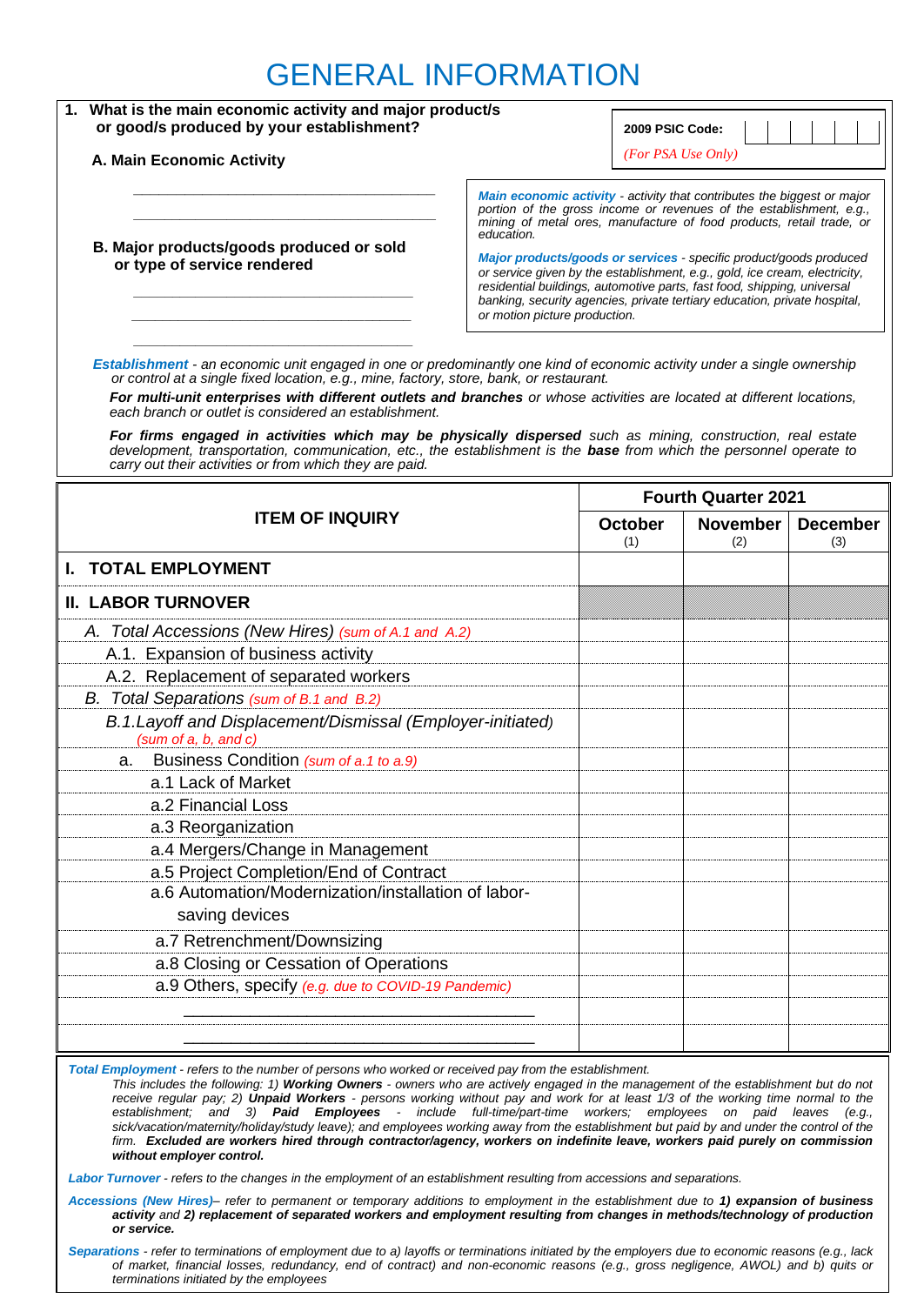### GENERAL INFORMATION

| 1. What is the main economic activity and major product/s<br>or good/s produced by your establishment?                                                                                                                                                                                                                                                                                                                                                                                                                                                                                                                                                                                                                                                                                                |  | 2009 PSIC Code:                                                                                                                                                                                                                                                                                                                                                                                                                                                                                                                    |                            |                 |  |
|-------------------------------------------------------------------------------------------------------------------------------------------------------------------------------------------------------------------------------------------------------------------------------------------------------------------------------------------------------------------------------------------------------------------------------------------------------------------------------------------------------------------------------------------------------------------------------------------------------------------------------------------------------------------------------------------------------------------------------------------------------------------------------------------------------|--|------------------------------------------------------------------------------------------------------------------------------------------------------------------------------------------------------------------------------------------------------------------------------------------------------------------------------------------------------------------------------------------------------------------------------------------------------------------------------------------------------------------------------------|----------------------------|-----------------|--|
| A. Main Economic Activity                                                                                                                                                                                                                                                                                                                                                                                                                                                                                                                                                                                                                                                                                                                                                                             |  | (For PSA Use Only)                                                                                                                                                                                                                                                                                                                                                                                                                                                                                                                 |                            |                 |  |
| education.<br>B. Major products/goods produced or sold<br>or type of service rendered<br>or motion picture production.                                                                                                                                                                                                                                                                                                                                                                                                                                                                                                                                                                                                                                                                                |  | Main economic activity - activity that contributes the biggest or major<br>portion of the gross income or revenues of the establishment, e.g.,<br>mining of metal ores, manufacture of food products, retail trade, or<br>Major products/goods or services - specific product/goods produced<br>or service given by the establishment, e.g., gold, ice cream, electricity,<br>residential buildings, automotive parts, fast food, shipping, universal<br>banking, security agencies, private tertiary education, private hospital, |                            |                 |  |
| Establishment - an economic unit engaged in one or predominantly one kind of economic activity under a single ownership<br>or control at a single fixed location, e.g., mine, factory, store, bank, or restaurant.<br>For multi-unit enterprises with different outlets and branches or whose activities are located at different locations,<br>each branch or outlet is considered an establishment.<br>For firms engaged in activities which may be physically dispersed such as mining, construction, real estate<br>development, transportation, communication, etc., the establishment is the <b>base</b> from which the personnel operate to                                                                                                                                                    |  |                                                                                                                                                                                                                                                                                                                                                                                                                                                                                                                                    |                            |                 |  |
| carry out their activities or from which they are paid.                                                                                                                                                                                                                                                                                                                                                                                                                                                                                                                                                                                                                                                                                                                                               |  |                                                                                                                                                                                                                                                                                                                                                                                                                                                                                                                                    | <b>Fourth Quarter 2021</b> |                 |  |
| <b>ITEM OF INQUIRY</b>                                                                                                                                                                                                                                                                                                                                                                                                                                                                                                                                                                                                                                                                                                                                                                                |  | <b>October</b>                                                                                                                                                                                                                                                                                                                                                                                                                                                                                                                     | <b>November</b>            | <b>December</b> |  |
| <b>TOTAL EMPLOYMENT</b>                                                                                                                                                                                                                                                                                                                                                                                                                                                                                                                                                                                                                                                                                                                                                                               |  | (1)                                                                                                                                                                                                                                                                                                                                                                                                                                                                                                                                | (2)                        | (3)             |  |
| <b>II. LABOR TURNOVER</b>                                                                                                                                                                                                                                                                                                                                                                                                                                                                                                                                                                                                                                                                                                                                                                             |  |                                                                                                                                                                                                                                                                                                                                                                                                                                                                                                                                    |                            |                 |  |
| A. Total Accessions (New Hires) (sum of A.1 and A.2)                                                                                                                                                                                                                                                                                                                                                                                                                                                                                                                                                                                                                                                                                                                                                  |  |                                                                                                                                                                                                                                                                                                                                                                                                                                                                                                                                    |                            |                 |  |
| A.1. Expansion of business activity                                                                                                                                                                                                                                                                                                                                                                                                                                                                                                                                                                                                                                                                                                                                                                   |  |                                                                                                                                                                                                                                                                                                                                                                                                                                                                                                                                    |                            |                 |  |
| A.2. Replacement of separated workers                                                                                                                                                                                                                                                                                                                                                                                                                                                                                                                                                                                                                                                                                                                                                                 |  |                                                                                                                                                                                                                                                                                                                                                                                                                                                                                                                                    |                            |                 |  |
| B. Total Separations (sum of B.1 and B.2)                                                                                                                                                                                                                                                                                                                                                                                                                                                                                                                                                                                                                                                                                                                                                             |  |                                                                                                                                                                                                                                                                                                                                                                                                                                                                                                                                    |                            |                 |  |
| B.1.Layoff and Displacement/Dismissal (Employer-initiated)<br>(sum of a, b, and c)                                                                                                                                                                                                                                                                                                                                                                                                                                                                                                                                                                                                                                                                                                                    |  |                                                                                                                                                                                                                                                                                                                                                                                                                                                                                                                                    |                            |                 |  |
| Business Condition (sum of a.1 to a.9)<br>a.                                                                                                                                                                                                                                                                                                                                                                                                                                                                                                                                                                                                                                                                                                                                                          |  |                                                                                                                                                                                                                                                                                                                                                                                                                                                                                                                                    |                            |                 |  |
| a.1 Lack of Market                                                                                                                                                                                                                                                                                                                                                                                                                                                                                                                                                                                                                                                                                                                                                                                    |  |                                                                                                                                                                                                                                                                                                                                                                                                                                                                                                                                    |                            |                 |  |
| a.2 Financial Loss                                                                                                                                                                                                                                                                                                                                                                                                                                                                                                                                                                                                                                                                                                                                                                                    |  |                                                                                                                                                                                                                                                                                                                                                                                                                                                                                                                                    |                            |                 |  |
| a.3 Reorganization                                                                                                                                                                                                                                                                                                                                                                                                                                                                                                                                                                                                                                                                                                                                                                                    |  |                                                                                                                                                                                                                                                                                                                                                                                                                                                                                                                                    |                            |                 |  |
| a.4 Mergers/Change in Management                                                                                                                                                                                                                                                                                                                                                                                                                                                                                                                                                                                                                                                                                                                                                                      |  |                                                                                                                                                                                                                                                                                                                                                                                                                                                                                                                                    |                            |                 |  |
| a.5 Project Completion/End of Contract                                                                                                                                                                                                                                                                                                                                                                                                                                                                                                                                                                                                                                                                                                                                                                |  |                                                                                                                                                                                                                                                                                                                                                                                                                                                                                                                                    |                            |                 |  |
| a.6 Automation/Modernization/installation of labor-<br>saving devices                                                                                                                                                                                                                                                                                                                                                                                                                                                                                                                                                                                                                                                                                                                                 |  |                                                                                                                                                                                                                                                                                                                                                                                                                                                                                                                                    |                            |                 |  |
| a.7 Retrenchment/Downsizing                                                                                                                                                                                                                                                                                                                                                                                                                                                                                                                                                                                                                                                                                                                                                                           |  |                                                                                                                                                                                                                                                                                                                                                                                                                                                                                                                                    |                            |                 |  |
| a.8 Closing or Cessation of Operations                                                                                                                                                                                                                                                                                                                                                                                                                                                                                                                                                                                                                                                                                                                                                                |  |                                                                                                                                                                                                                                                                                                                                                                                                                                                                                                                                    |                            |                 |  |
| a.9 Others, specify (e.g. due to COVID-19 Pandemic)                                                                                                                                                                                                                                                                                                                                                                                                                                                                                                                                                                                                                                                                                                                                                   |  |                                                                                                                                                                                                                                                                                                                                                                                                                                                                                                                                    |                            |                 |  |
|                                                                                                                                                                                                                                                                                                                                                                                                                                                                                                                                                                                                                                                                                                                                                                                                       |  |                                                                                                                                                                                                                                                                                                                                                                                                                                                                                                                                    |                            |                 |  |
|                                                                                                                                                                                                                                                                                                                                                                                                                                                                                                                                                                                                                                                                                                                                                                                                       |  |                                                                                                                                                                                                                                                                                                                                                                                                                                                                                                                                    |                            |                 |  |
| Total Employment - refers to the number of persons who worked or received pay from the establishment.<br>This includes the following: 1) Working Owners - owners who are actively engaged in the management of the establishment but do not<br>receive regular pay; 2) Unpaid Workers - persons working without pay and work for at least 1/3 of the working time normal to the<br>establishment; and 3) Paid Employees - include full-time/part-time workers; employees on paid leaves (e.g.,<br>sick/vacation/maternity/holiday/study leave); and employees working away from the establishment but paid by and under the control of the<br>firm. Excluded are workers hired through contractor/agency, workers on indefinite leave, workers paid purely on commission<br>without employer control. |  |                                                                                                                                                                                                                                                                                                                                                                                                                                                                                                                                    |                            |                 |  |

*Labor Turnover - refers to the changes in the employment of an establishment resulting from accessions and separations.*

*Accessions (New Hires)– refer to permanent or temporary additions to employment in the establishment due to 1) expansion of business activity and 2) replacement of separated workers and employment resulting from changes in methods/technology of production or service.*

*Separations - refer to terminations of employment due to a) layoffs or terminations initiated by the employers due to economic reasons (e.g., lack of market, financial losses, redundancy, end of contract) and non-economic reasons (e.g., gross negligence, AWOL) and b) quits or terminations initiated by the employees*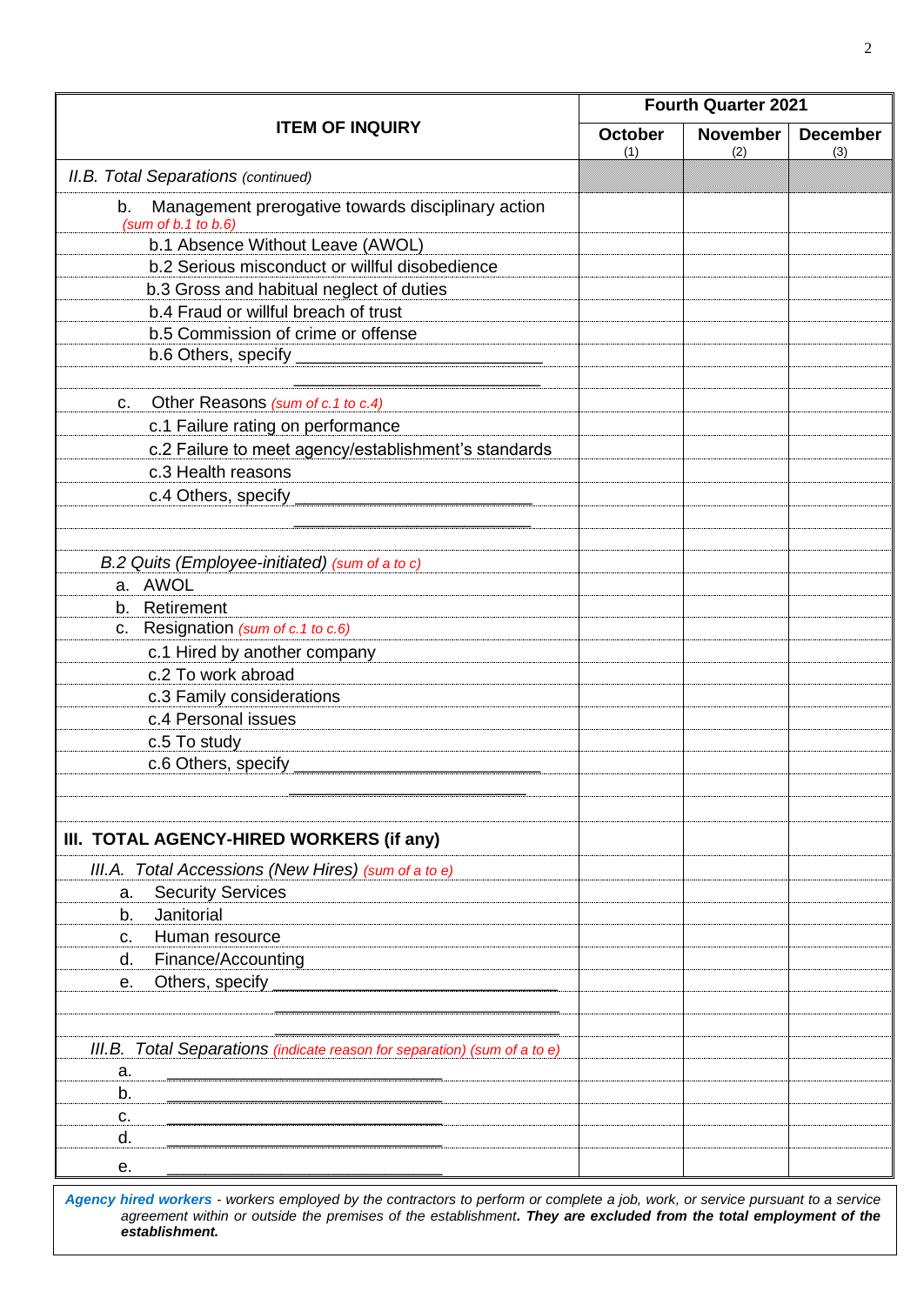|                                                                                      | <b>Fourth Quarter 2021</b> |                        |                        |  |  |
|--------------------------------------------------------------------------------------|----------------------------|------------------------|------------------------|--|--|
| <b>ITEM OF INQUIRY</b>                                                               | <b>October</b><br>(1)      | <b>November</b><br>(2) | <b>December</b><br>(3) |  |  |
| <b>II.B. Total Separations (continued)</b>                                           |                            |                        |                        |  |  |
| Management prerogative towards disciplinary action<br>b.<br>(sum of $b.1$ to $b.6$ ) |                            |                        |                        |  |  |
| b.1 Absence Without Leave (AWOL)                                                     |                            |                        |                        |  |  |
| b.2 Serious misconduct or willful disobedience                                       |                            |                        |                        |  |  |
| b.3 Gross and habitual neglect of duties                                             |                            |                        |                        |  |  |
| b.4 Fraud or willful breach of trust                                                 |                            |                        |                        |  |  |
| b.5 Commission of crime or offense                                                   |                            |                        |                        |  |  |
| b.6 Others, specify _                                                                |                            |                        |                        |  |  |
| Other Reasons (sum of c.1 to c.4)<br>c.                                              |                            |                        |                        |  |  |
| c.1 Failure rating on performance                                                    |                            |                        |                        |  |  |
| c.2 Failure to meet agency/establishment's standards                                 |                            |                        |                        |  |  |
| c.3 Health reasons                                                                   |                            |                        |                        |  |  |
| c.4 Others, specify                                                                  |                            |                        |                        |  |  |
| B.2 Quits (Employee-initiated) (sum of a to c)                                       |                            |                        |                        |  |  |
| a. AWOL                                                                              |                            |                        |                        |  |  |
| Retirement<br>b.                                                                     |                            |                        |                        |  |  |
| Resignation (sum of c.1 to c.6)<br>C.                                                |                            |                        |                        |  |  |
| c.1 Hired by another company                                                         |                            |                        |                        |  |  |
| c.2 To work abroad                                                                   |                            |                        |                        |  |  |
| c.3 Family considerations                                                            |                            |                        |                        |  |  |
| c.4 Personal issues                                                                  |                            |                        |                        |  |  |
| c.5 To study                                                                         |                            |                        |                        |  |  |
| c.6 Others, specify                                                                  |                            |                        |                        |  |  |
|                                                                                      |                            |                        |                        |  |  |
| III. TOTAL AGENCY-HIRED WORKERS (if any)                                             |                            |                        |                        |  |  |
| III.A. Total Accessions (New Hires) (sum of a to e)                                  |                            |                        |                        |  |  |
| <b>Security Services</b><br>a.                                                       |                            |                        |                        |  |  |
| Janitorial<br>b.                                                                     |                            |                        |                        |  |  |
| Human resource<br>C.                                                                 |                            |                        |                        |  |  |
| Finance/Accounting<br>d.                                                             |                            |                        |                        |  |  |
| Others, specify<br>е.                                                                |                            |                        |                        |  |  |
|                                                                                      |                            |                        |                        |  |  |
| III.B. Total Separations (indicate reason for separation) (sum of a to e)            |                            |                        |                        |  |  |
| a.                                                                                   |                            |                        |                        |  |  |
| b.                                                                                   |                            |                        |                        |  |  |
| c.                                                                                   |                            |                        |                        |  |  |
| d.                                                                                   |                            |                        |                        |  |  |
| е.                                                                                   |                            |                        |                        |  |  |

*Agency hired workers - workers employed by the contractors to perform or complete a job, work, or service pursuant to a service agreement within or outside the premises of the establishment. They are excluded from the total employment of the establishment.*